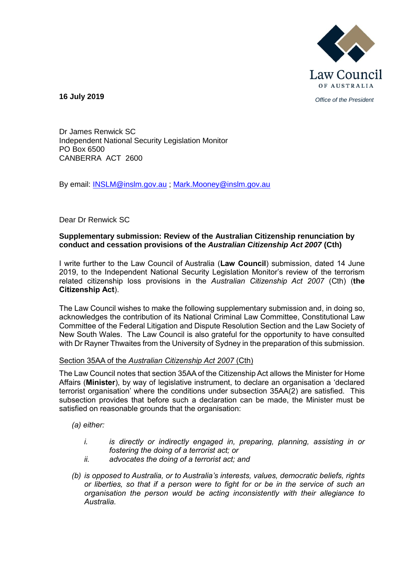

*Office of the President* **16 July 2019**

Dr James Renwick SC Independent National Security Legislation Monitor PO Box 6500 CANBERRA ACT 2600

By email: [INSLM@inslm.gov.au](mailto:INSLM@inslm.gov.au) ; [Mark.Mooney@inslm.gov.au](mailto:Mark.Mooney@inslm.gov.au)

### Dear Dr Renwick SC

### **Supplementary submission: Review of the Australian Citizenship renunciation by conduct and cessation provisions of the** *Australian Citizenship Act 2007* **(Cth)**

I write further to the Law Council of Australia (**Law Council**) submission, dated 14 June 2019, to the Independent National Security Legislation Monitor's review of the terrorism related citizenship loss provisions in the *Australian Citizenship Act 2007* (Cth) (**the Citizenship Act**).

The Law Council wishes to make the following supplementary submission and, in doing so, acknowledges the contribution of its National Criminal Law Committee, Constitutional Law Committee of the Federal Litigation and Dispute Resolution Section and the Law Society of New South Wales. The Law Council is also grateful for the opportunity to have consulted with Dr Rayner Thwaites from the University of Sydney in the preparation of this submission.

#### Section 35AA of the *Australian Citizenship Act 2007* (Cth)

The Law Council notes that section 35AA of the Citizenship Act allows the Minister for Home Affairs (**Minister**), by way of legislative instrument, to declare an organisation a 'declared terrorist organisation' where the conditions under subsection 35AA(2) are satisfied. This subsection provides that before such a declaration can be made, the Minister must be satisfied on reasonable grounds that the organisation:

*(a) either:*

- *i. is directly or indirectly engaged in, preparing, planning, assisting in or fostering the doing of a terrorist act; or*
- *ii. advocates the doing of a terrorist act; and*
- *(b) is opposed to Australia, or to Australia's interests, values, democratic beliefs, rights or liberties, so that if a person were to fight for or be in the service of such an organisation the person would be acting inconsistently with their allegiance to Australia.*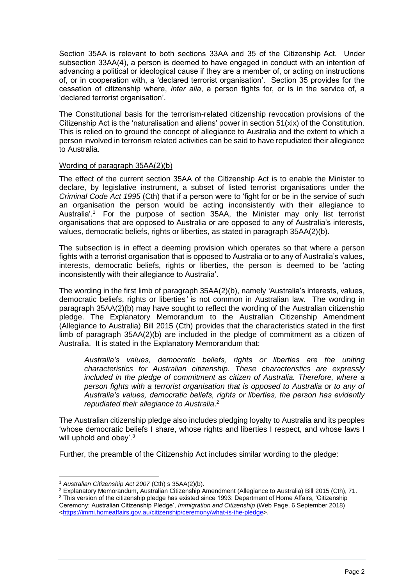Section 35AA is relevant to both sections 33AA and 35 of the Citizenship Act. Under subsection 33AA(4), a person is deemed to have engaged in conduct with an intention of advancing a political or ideological cause if they are a member of, or acting on instructions of, or in cooperation with, a 'declared terrorist organisation'. Section 35 provides for the cessation of citizenship where, *inter alia*, a person fights for, or is in the service of, a 'declared terrorist organisation'.

The Constitutional basis for the terrorism-related citizenship revocation provisions of the Citizenship Act is the 'naturalisation and aliens' power in section 51(xix) of the Constitution. This is relied on to ground the concept of allegiance to Australia and the extent to which a person involved in terrorism related activities can be said to have repudiated their allegiance to Australia.

# Wording of paragraph 35AA(2)(b)

The effect of the current section 35AA of the Citizenship Act is to enable the Minister to declare, by legislative instrument, a subset of listed terrorist organisations under the *Criminal Code Act 1995* (Cth) that if a person were to 'fight for or be in the service of such an organisation the person would be acting inconsistently with their allegiance to Australia'. <sup>1</sup> For the purpose of section 35AA, the Minister may only list terrorist organisations that are opposed to Australia or are opposed to any of Australia's interests, values, democratic beliefs, rights or liberties, as stated in paragraph 35AA(2)(b).

The subsection is in effect a deeming provision which operates so that where a person fights with a terrorist organisation that is opposed to Australia or to any of Australia's values, interests, democratic beliefs, rights or liberties, the person is deemed to be 'acting inconsistently with their allegiance to Australia'.

The wording in the first limb of paragraph 35AA(2)(b), namely *'*Australia's interests, values, democratic beliefs, rights or liberties*'* is not common in Australian law. The wording in paragraph 35AA(2)(b) may have sought to reflect the wording of the Australian citizenship pledge. The Explanatory Memorandum to the Australian Citizenship Amendment (Allegiance to Australia) Bill 2015 (Cth) provides that the characteristics stated in the first limb of paragraph 35AA(2)(b) are included in the pledge of commitment as a citizen of Australia. It is stated in the Explanatory Memorandum that:

*Australia's values, democratic beliefs, rights or liberties are the uniting characteristics for Australian citizenship. These characteristics are expressly included in the pledge of commitment as citizen of Australia. Therefore, where a person fights with a terrorist organisation that is opposed to Australia or to any of Australia's values, democratic beliefs, rights or liberties, the person has evidently repudiated their allegiance to Australia*. 2

The Australian citizenship pledge also includes pledging loyalty to Australia and its peoples 'whose democratic beliefs I share, whose rights and liberties I respect, and whose laws I will uphold and obey'.<sup>3</sup>

Further, the preamble of the Citizenship Act includes similar wording to the pledge:

<sup>1</sup> <sup>1</sup> *Australian Citizenship Act 2007* (Cth) s 35AA(2)(b).

<sup>2</sup> Explanatory Memorandum, Australian Citizenship Amendment (Allegiance to Australia) Bill 2015 (Cth), 71.

 $3$  This version of the citizenship pledge has existed since 1993: Department of Home Affairs, 'Citizenship Ceremony: Australian Citizenship Pledge', *Immigration and Citizenship* (Web Page, 6 September 2018) [<https://immi.homeaffairs.gov.au/citizenship/ceremony/what-is-the-pledge>](https://immi.homeaffairs.gov.au/citizenship/ceremony/what-is-the-pledge).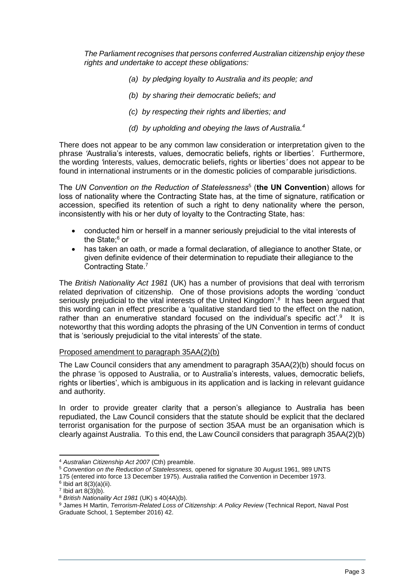*The Parliament recognises that persons conferred Australian citizenship enjoy these rights and undertake to accept these obligations:*

- *(a) by pledging loyalty to Australia and its people; and*
- *(b) by sharing their democratic beliefs; and*
- *(c) by respecting their rights and liberties; and*
- *(d) by upholding and obeying the laws of Australia.<sup>4</sup>*

There does not appear to be any common law consideration or interpretation given to the phrase *'*Australia's interests, values, democratic beliefs, rights or liberties*'.* Furthermore, the wording *'*interests, values, democratic beliefs, rights or liberties*'* does not appear to be found in international instruments or in the domestic policies of comparable jurisdictions.

The *UN Convention on the Reduction of Statelessness*<sup>5</sup> (**the UN Convention**) allows for loss of nationality where the Contracting State has, at the time of signature, ratification or accession, specified its retention of such a right to deny nationality where the person, inconsistently with his or her duty of loyalty to the Contracting State, has:

- conducted him or herself in a manner seriously prejudicial to the vital interests of the State; <sup>6</sup> or
- has taken an oath, or made a formal declaration, of allegiance to another State, or given definite evidence of their determination to repudiate their allegiance to the Contracting State.<sup>7</sup>

The *British Nationality Act 1981* (UK) has a number of provisions that deal with terrorism related deprivation of citizenship. One of those provisions adopts the wording 'conduct seriously prejudicial to the vital interests of the United Kingdom'.<sup>8</sup> It has been argued that this wording can in effect prescribe a 'qualitative standard tied to the effect on the nation, rather than an enumerative standard focused on the individual's specific act'.<sup>9</sup> It is noteworthy that this wording adopts the phrasing of the UN Convention in terms of conduct that is 'seriously prejudicial to the vital interests' of the state.

# Proposed amendment to paragraph 35AA(2)(b)

The Law Council considers that any amendment to paragraph 35AA(2)(b) should focus on the phrase 'is opposed to Australia, or to Australia's interests, values, democratic beliefs, rights or liberties', which is ambiguous in its application and is lacking in relevant guidance and authority.

In order to provide greater clarity that a person's allegiance to Australia has been repudiated, the Law Council considers that the statute should be explicit that the declared terrorist organisation for the purpose of section 35AA must be an organisation which is clearly against Australia. To this end, the Law Council considers that paragraph 35AA(2)(b)

1

<sup>4</sup> *Australian Citizenship Act 2007* (Cth) preamble.

<sup>5</sup> *Convention on the Reduction of Statelessness,* opened for signature 30 August 1961, 989 UNTS

<sup>175 (</sup>entered into force 13 December 1975). Australia ratified the Convention in December 1973.

 $6$  Ibid art 8(3)(a)(ii).

 $7$  Ibid art 8(3)(b).

<sup>8</sup> *British Nationality Act 1981* (UK) s 40(4A)(b).

<sup>9</sup> James H Martin, *Terrorism-Related Loss of Citizenship*: *A Policy Review* (Technical Report, Naval Post Graduate School, 1 September 2016) 42.